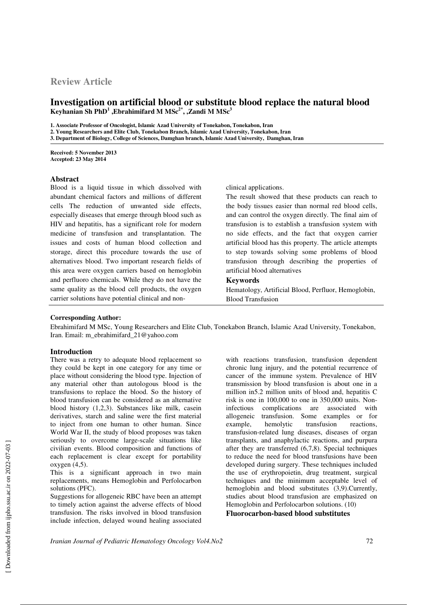# **Review Article**

# **Investigation on artificial blood or substitute blood replace the natural blood Keyhanian Sh PhD<sup>1</sup> ,Ebrahimifard M MSc2\*, ,Zandi M MSc<sup>3</sup>**

**1. Associate Professor of Oncologist, Islamic Azad University of Tonekabon, Tonekabon, Iran** 

**2. Young Researchers and Elite Club, Tonekabon Branch, Islamic Azad University, Tonekabon, Iran** 

**3. Department of Biology, College of Sciences, Damghan branch, Islamic Azad University, Damghan, Iran**

**Received: 5 November 2013 Accepted: 23 May 2014**

### **Abstract**

Blood is a liquid tissue in which dissolved with abundant chemical factors and millions of different cells The reduction of unwanted side effects, especially diseases that emerge through blood such as HIV and hepatitis, has a significant role for modern medicine of transfusion and transplantation. The issues and costs of human blood collection and storage, direct this procedure towards the use of alternatives blood. Two important research fields of this area were oxygen carriers based on hemoglobin and perfluoro chemicals. While they do not have the same quality as the blood cell products, the oxygen carrier solutions have potential clinical and non-

#### clinical applications.

The result showed that these products can reach to the body tissues easier than normal red blood cells, and can control the oxygen directly. The final aim of transfusion is to establish a transfusion system with no side effects, and the fact that oxygen carrier artificial blood has this property. The article attempts to step towards solving some problems of blood transfusion through describing the properties of artificial blood alternatives

### **Keywords**

Hematology, Artificial Blood, Perfluor, Hemoglobin, Blood Transfusion

#### **Corresponding Author:**

Ebrahimifard M MSc, Young Researchers and Elite Club, Tonekabon Branch, Islamic Azad University, Tonekabon, Iran. Email: m\_ebrahimifard\_21@yahoo.com

#### **Introduction**

There was a retry to adequate blood replacement so they could be kept in one category for any time or place without considering the blood type. Injection of any material other than autologous blood is the transfusions to replace the blood. So the history of blood transfusion can be considered as an alternative blood history (1,2,3). Substances like milk, casein derivatives, starch and saline were the first material to inject from one human to other human. Since World War II, the study of blood proposes was taken seriously to overcome large-scale situations like civilian events. Blood composition and functions of each replacement is clear except for portability oxygen (4,5).

This is a significant approach in two main replacements, means Hemoglobin and Perfolocarbon solutions (PFC).

Suggestions for allogeneic RBC have been an attempt to timely action against the adverse effects of blood transfusion. The risks involved in blood transfusion include infection, delayed wound healing associated

with reactions transfusion, transfusion dependent chronic lung injury, and the potential recurrence of cancer of the immune system. Prevalence of HIV transmission by blood transfusion is about one in a million in5.2 million units of blood and, hepatitis C risk is one in 100,000 to one in 350,000 units. Noninfectious complications are associated with allogeneic transfusion. Some examples or for example, hemolytic transfusion reactions, transfusion-related lung diseases, diseases of organ transplants, and anaphylactic reactions, and purpura after they are transferred (6,7,8). Special techniques to reduce the need for blood transfusions have been developed during surgery. These techniques included the use of erythropoietin, drug treatment, surgical techniques and the minimum acceptable level of hemoglobin and blood substitutes (3,9).Currently, studies about blood transfusion are emphasized on Hemoglobin and Perfolocarbon solutions. (10) **Fluorocarbon-based blood substitutes** 

*Iranian Journal of Pediatric Hematology Oncology Vol4.No2* 72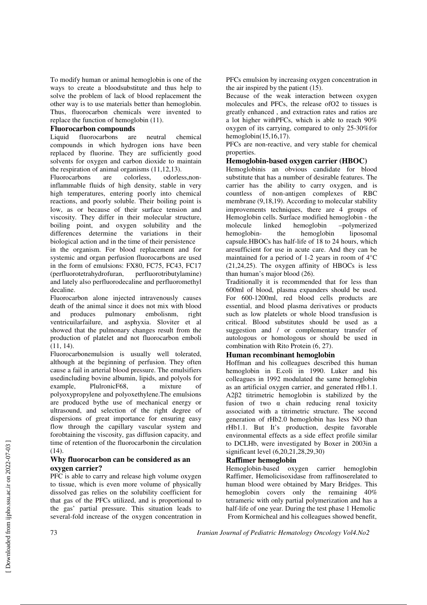To modify human or animal hemoglobin is one of the ways to create a bloodsubstitute and thus help to solve the problem of lack of blood replacement the other way is to use materials better than hemoglobin. Thus, fluorocarbon chemicals were invented to replace the function of hemoglobin (11).

### **Fluorocarbon compounds**

Liquid fluorocarbons are neutral chemical compounds in which hydrogen ions have been replaced by fluorine. They are sufficiently good solvents for oxygen and carbon dioxide to maintain the respiration of animal organisms (11,12,13).

Fluorocarbons are colorless, odorless,noninflammable fluids of high density, stable in very high temperatures, entering poorly into chemical reactions, and poorly soluble. Their boiling point is low, as or because of their surface tension and viscosity. They differ in their molecular structure, boiling point, and oxygen solubility and the differences determine the variations in their biological action and in the time of their persistence

in the organism. For blood replacement and for systemic and organ perfusion fluorocarbons are used in the form of emulsions: FX80, FC75, FC43, FC17 (perfluorotetrahydrofuran, perfluorotributylamine) and lately also perfluorodecaline and perfluoromethyl decaline.

Fluorocarbon alone injected intravenously causes death of the animal since it does not mix with blood and produces pulmonary embolisnm, right ventricuilarfailure, and asphyxia. Sloviter et al showed that the pulmonary changes result from the production of platelet and not fluorocarbon emboli (11, 14).

Fluorocarbonemulsion is usually well tolerated, although at the beginning of perfusion. They often cause a fail in arterial blood pressure. The emulsifiers usedincluding bovine albumin, lipids, and polyols for example, PlulronicF68, a mixture of polyoxypropylene and polyoxethylene.The emulsions are produced bythe use of mechanical energy or ultrasound, and selection of the right degree of dispersions of great importance for ensuring easy flow through the capillary vascular system and forobtaining the viscosity, gas diffusion capacity, and time of retention of the fluorocarbonin the circulation (14).

# **Why fluorocarbon can be considered as an oxygen carrier?**

PFC is able to carry and release high volume oxygen to tissue, which is even more volume of physically dissolved gas relies on the solubility coefficient for that gas of the PFCs utilized, and is proportional to the gas' partial pressure. This situation leads to several-fold increase of the oxygen concentration in

PFCs emulsion by increasing oxygen concentration in the air inspired by the patient (15).

Because of the weak interaction between oxygen molecules and PFCs, the release ofO2 to tissues is greatly enhanced , and extraction rates and ratios are a lot higher withPFCs, which is able to reach 90% oxygen of its carrying, compared to only 25-30%for hemoglobin(15,16,17).

PFCs are non-reactive, and very stable for chemical properties.

# **Hemoglobin-based oxygen carrier (HBOC)**

Hemoglobinis an obvious candidate for blood substitute that has a number of desirable features. The carrier has the ability to carry oxygen, and is countless of non-antigen complexes of RBC membrane (9,18,19). According to molecular stability improvements techniques, there are 4 groups of Hemoglobin cells. Surface modified hemoglobin - the molecule linked hemoglobin –polymerized hemoglobin- the hemoglobin liposomal capsule.HBOCs has half-life of 18 to 24 hours, which aresufficient for use in acute care. And they can be maintained for a period of 1-2 years in room of 4°C (21,24,25). The oxygen affinity of HBOCs is less than human's major blood (26).

Traditionally it is recommended that for less than 600ml of blood, plasma expanders should be used. For 600-1200ml, red blood cells products are essential, and blood plasma derivatives or products such as low platelets or whole blood transfusion is critical. Blood substitutes should be used as a suggestion and / or complementary transfer of autologous or homologous or should be used in combination with Rito Protein (6, 27).

# **Human recombinant hemoglobin**

Hoffman and his colleagues described this human hemoglobin in E.coli in 1990. Luker and his colleagues in 1992 modulated the same hemoglobin as an artificial oxygen carrier, and generated rHb1.1. Α2β2 titrimetric hemoglobin is stabilized by the fusion of two α chain reducing renal toxicity associated with a titrimetric structure. The second generation of rHb2.0 hemoglobin has less NO than rHb1.1. But It's production, despite favorable environmental effects as a side effect profile similar to DCLHb, were investigated by Boxer in 2003in a significant level (6,20,21,28,29,30)

### **Raffimer hemoglobin**

Hemoglobin-based oxygen carrier hemoglobin Raffimer, Hemolicisoxidase from raffinoserelated to human blood were obtained by Mary Bridges. This hemoglobin covers only the remaining 40% tetrameric with only partial polymerization and has a half-life of one year. During the test phase 1 Hemolic From Kormicheal and his colleagues showed benefit,

73 *Iranian Journal of Pediatric Hematology Oncology Vol4.No2*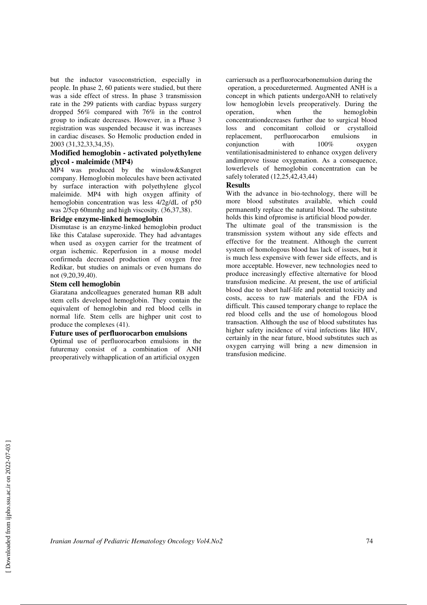but the inductor vasoconstriction, especially in people. In phase 2, 60 patients were studied, but there was a side effect of stress. In phase 3 transmission rate in the 299 patients with cardiac bypass surgery dropped 56% compared with 76% in the control group to indicate decreases. However, in a Phase 3 registration was suspended because it was increases in cardiac diseases. So Hemolic production ended in 2003 (31,32,33,34,35).

### **Modified hemoglobin - activated polyethylene glycol - maleimide (MP4)**

MP4 was produced by the winslow&Sangret company. Hemoglobin molecules have been activated by surface interaction with polyethylene glycol maleimide. MP4 with high oxygen affinity of hemoglobin concentration was less 4/2g/dL of p50 was 2/5cp 60mmhg and high viscosity. (36,37,38).

### **Bridge enzyme-linked hemoglobin**

Dismutase is an enzyme-linked hemoglobin product like this Catalase superoxide. They had advantages when used as oxygen carrier for the treatment of organ ischemic. Reperfusion in a mouse model confirmeda decreased production of oxygen free Redikar, but studies on animals or even humans do not (9,20,39,40).

### **Stem cell hemoglobin**

Giaratana andcolleagues generated human RB adult stem cells developed hemoglobin. They contain the equivalent of hemoglobin and red blood cells in normal life. Stem cells are highper unit cost to produce the complexes (41).

### **Future uses of perfluorocarbon emulsions**

Optimal use of perfluorocarbon emulsions in the futuremay consist of a combination of ANH preoperatively withapplication of an artificial oxygen

carriersuch as a perfluorocarbonemulsion during the operation, a proceduretermed. Augmented ANH is a concept in which patients undergoANH to relatively low hemoglobin levels preoperatively. During the operation, when the hemoglobin concentrationdecreases further due to surgical blood loss and concomitant colloid or crystalloid replacement, perfluorocarbon emulsions in conjunction with  $100\%$  oxygen conjunction with 100% oxygen ventilationisadministered to enhance oxygen delivery andimprove tissue oxygenation. As a consequence, lowerlevels of hemoglobin concentration can be safely tolerated (12,25,42,43,44)

# **Results**

With the advance in bio-technology, there will be more blood substitutes available, which could permanently replace the natural blood. The substitute holds this kind ofpromise is artificial blood powder.

The ultimate goal of the transmission is the transmission system without any side effects and effective for the treatment. Although the current system of homologous blood has lack of issues, but it is much less expensive with fewer side effects, and is more acceptable. However, new technologies need to produce increasingly effective alternative for blood transfusion medicine. At present, the use of artificial blood due to short half-life and potential toxicity and costs, access to raw materials and the FDA is difficult. This caused temporary change to replace the red blood cells and the use of homologous blood transaction. Although the use of blood substitutes has higher safety incidence of viral infections like HIV, certainly in the near future, blood substitutes such as oxygen carrying will bring a new dimension in transfusion medicine.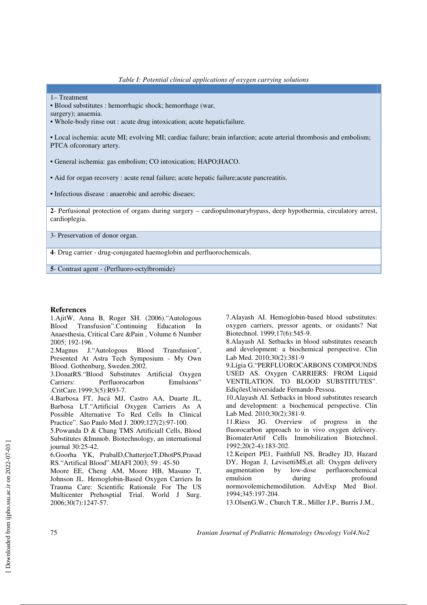1– Treatment

• Blood substitutes : hemorrhagic shock; hemorrhage (war,

surgery); anaemia.

• Whole-body rinse out : acute drug intoxication; acute hepaticfailure.

• Local ischemia: acute MI; evolving MI; cardiac failure; brain infarction; acute arterial thrombosis and embolism; PTCA ofcoronary artery.

• General ischemia: gas embolism; CO intoxication; HAPO;HACO.

• Aid for organ recovery : acute renal failure; acute hepatic failure;acute pancreatitis.

• Infectious disease : anaerobic and aerobic diseaes;

**2**- Perfusional protection of organs during surgery – cardiopulmonarybypass, deep hypothermia, circulatory arrest, cardioplegia.

3- Preservation of donor organ.

**4**- Drug carrier - drug-conjugated haemoglobin and perfluorochemicals.

**5**- Contrast agent - (Perfluoro-octylbromide)

#### **References**

1.AjitW, Anna B, Roger SH. (2006)."Autologous Blood Transfusion".Continuing Education In Anaesthesia, Critical Care &Pain , Volume 6 Number 2005; 192-196.

2.Magnus J."Autologous Blood Transfusion", Presented At Astra Tech Symposium - My Own Blood. Gothenburg, Sweden.2002.

3.DonatRS."Blood Substitutes Artificial Oxygen Carriers: Perfluorocarbon Emulsions" .CritCare.1999;3(5):R93-7.

4.Barbosa FT, Jucá MJ, Castro AA, Duarte JL, Barbosa LT."Artificial Oxygen Carriers As A Possible Alternative To Red Cells In Clinical Practice". Sao Paulo Med J. 2009;127(2):97-100.

5.Powanda D & Chang TMS Artificiall Cells, Blood Substitutes &Immob. Biotechnology, an international journal 30:25-42.

6.Goorha YK, PrabalD,ChatterjeeT,DhotPS,Prasad RS."Artifical Blood".MJAFI 2003; 59 : 45-50

Moore EE, Cheng AM, Moore HB, Masuno T, Johnson JL. Hemoglobin-Based Oxygen Carriers In Trauma Care: Scientific Rationale For The US Multicenter Prehosptial Trial. World J Surg. 2006;30(7):1247-57.

7.Alayash AI. Hemoglobin-based blood substitutes: oxygen carriers, pressor agents, or oxidants? Nat Biotechnol. 1999;17(6):545-9.

8.Alayash AI. Setbacks in blood substitutes research and development: a biochemical perspective. Clin Lab Med. 2010;30(2):381-9

9.Lígia G."PERFLUOROCARBONS COMPOUNDS USED AS. Oxygen CARRIERS: FROM Liquid VENTILATION. TO BLOOD SUBSTITUTES". EdiçõesUniversidade Fernando Pessoa.

10.Alayash AI. Setbacks in blood substitutes research and development: a biochemical perspective. Clin Lab Med. 2010;30(2):381-9.

11.Riess JG. Overview of progress in the fluorocarbon approach to in vivo oxygen delivery. BiomaterArtif Cells Immobilization Biotechnol. 1992;20(2-4):183-202.

12.Keipert PE1, Faithfull NS, Bradley JD, Hazard DY, Hogan J, LevisettiMS,et all: Oxygen delivery augmentation by low-dose perfluorochemical emulsion during profound normovolemichemodilution. AdvExp Med Biol. 1994;345:197-204.

13.OlsenG.W., Church T.R., Miller J.P., Burris J.M.,

75 *Iranian Journal of Pediatric Hematology Oncology Vol4.No2*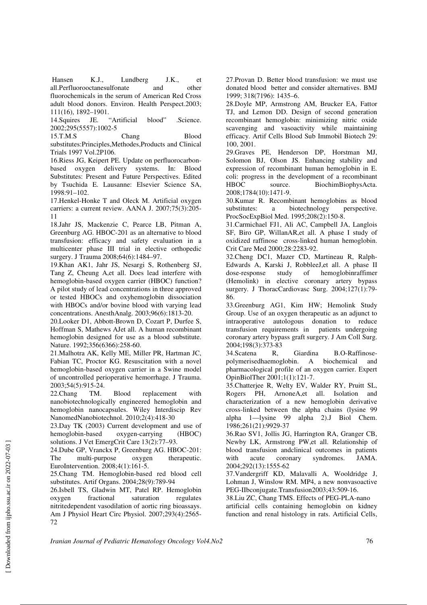Hansen K.J., Lundberg J.K., et all.Perfluorooctanesulfonate and other fluorochemicals in the serum of American Red Cross adult blood donors. Environ. Health Perspect.2003; 111(16), 1892–1901.

14.Squires JE. "Artificial blood" .Science. 2002;295(5557):1002-5

15.T.M.S Chang Blood substitutes:Principles,Methodes,Products and Clinical Trials 1997 Vol.2P106.

16.Riess JG, Keipert PE. Update on perfluorocarbonbased oxygen delivery systems. In: Blood Substitutes: Present and Future Perspectives. Edited by Tsuchida E. Lausanne: Elsevier Science SA, 1998:91–102.

17.Henkel-Honke T and Oleck M. Artificial oxygen carriers: a current review. AANA J. 2007;75(3):205- 11

18.Jahr JS, Mackenzie C, Pearce LB, Pitman A, Greenburg AG. HBOC-201 as an alternative to blood transfusion: efficacy and safety evaluation in a multicenter phase III trial in elective orthopedic surgery. J Trauma 2008;64(6):1484-97.

19.Khan AK1, Jahr JS, Nesargi S, Rothenberg SJ, Tang Z, Cheung A,et all. Does lead interfere with hemoglobin-based oxygen carrier (HBOC) function? A pilot study of lead concentrations in three approved or tested HBOCs and oxyhemoglobin dissociation with HBOCs and/or bovine blood with varying lead concentrations. AnesthAnalg. 2003;96(6):1813-20.

20.Looker D1, Abbott-Brown D, Cozart P, Durfee S, Hoffman S, Mathews AJet all. A human recombinant hemoglobin designed for use as a blood substitute. Nature. 1992;356(6366):258-60.

21.Malhotra AK, Kelly ME, Miller PR, Hartman JC, Fabian TC, Proctor KG. Resuscitation with a novel hemoglobin-based oxygen carrier in a Swine model of uncontrolled perioperative hemorrhage. J Trauma. 2003;54(5):915-24.

22.Chang TM. Blood replacement with nanobiotechnologically engineered hemoglobin and hemoglobin nanocapsules. Wiley Interdiscip Rev NanomedNanobiotechnol. 2010;2(4):418-30

23.Day TK (2003) Current development and use of hemoglobin-based oxygen-carrying (HBOC) solutions. J Vet EmergCrit Care 13(2):77–93.

24.Dube GP, Vranckx P, Greenburg AG. HBOC-201: The multi-purpose oxygen therapeutic. EuroIntervention. 2008;4(1):161-5.

25.Chang TM. Hemoglobin-based red blood cell substitutes. Artif Organs. 2004;28(9):789-94

26.Isbell TS, Gladwin MT, Patel RP. Hemoglobin oxygen fractional saturation regulates nitritedependent vasodilation of aortic ring bioassays. Am J Physiol Heart Circ Physiol. 2007;293(4):2565- 72

27.Provan D. Better blood transfusion: we must use donated blood better and consider alternatives. BMJ 1999; 318(7196): 1435–6.

28.Doyle MP, Armstrong AM, Brucker EA, Fattor TJ, and Lemon DD. Design of second generation recombinant hemoglobin: minimizing nitric oxide scavenging and vasoactivity while maintaining efficacy. Artif Cells Blood Sub Immobil Biotech 29: 100, 2001.

29.Graves PE, Henderson DP, Horstman MJ, Solomon BJ, Olson JS. Enhancing stability and expression of recombinant human hemoglobin in E. coli: progress in the development of a recombinant HBOC source. BiochimBiophysActa. 2008;1784(10):1471-9.

30.Kumar R. Recombinant hemoglobins as blood substitutes: a biotechnology perspective. ProcSocExpBiol Med. 1995;208(2):150-8.

31.Carmichael FJ1, Ali AC, Campbell JA, Langlois SF, Biro GP, WillanAR,et all. A phase I study of oxidized raffinose cross-linked human hemoglobin. Crit Care Med 2000;28:2283-92.

32.Cheng DC1, Mazer CD, Martineau R, Ralph-Edwards A, Karski J, RobbleeJ,et all. A phase II dose-response study of hemoglobinraffimer (Hemolink) in elective coronary artery bypass surgery. J ThoracCardiovasc Surg. 2004;127(1):79-86.

33.Greenburg AG1, Kim HW; Hemolink Study Group. Use of an oxygen therapeutic as an adjunct to intraoperative autologous donation to reduce transfusion requirements in patients undergoing coronary artery bypass graft surgery. J Am Coll Surg. 2004;198(3):373-83

34.Scatena R, Giardina B.O-Raffinosepolymerisedhaemoglobin. A biochemical and pharmacological profile of an oxygen carrier. Expert OpinBiolTher 2001;1(1):121-7.

35.Chatterjee R, Welty EV, Walder RY, Pruitt SL, Rogers PH, ArnoneA,et all. Isolation and characterization of a new hemoglobin derivative cross-linked between the alpha chains (lysine 99 alpha 1—lysine 99 alpha 2).J Biol Chem. 1986;261(21):9929-37

36.Rao SV1, Jollis JG, Harrington RA, Granger CB, Newby LK, Armstrong PW,et all. Relationship of blood transfusion andclinical outcomes in patients with acute coronary syndromes. JAMA. 2004;292(13):1555-62

37.Vandergriff KD, Malavalli A, Wooldridge J, Lohman J, Winslow RM. MP4, a new nonvasoactive PEG-IIbconjugate.Transfusion2003;43:509-16.

38.Liu ZC, Chang TMS. Effects of PEG-PLA-nano artificial cells containing hemoglobin on kidney function and renal histology in rats. Artificial Cells,